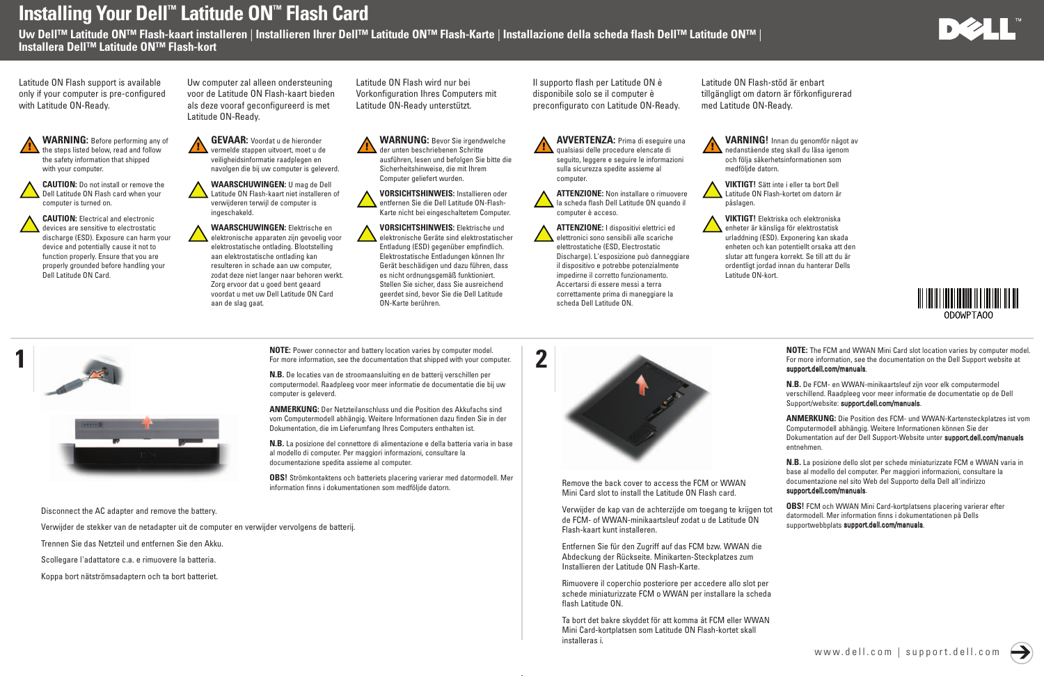## Installing Your Dell™ Latitude ON™ Flash Card

Uw Dell™ Latitude ON™ Flash-kaart installeren | Installieren Ihrer Dell™ Latitude ON™ Flash-Karte | Installazione della scheda flash Dell™ Latitude ON™ | Installera Dell™ Latitude ON™ Flash-kort

1

Disconnect the AC adapter and remove the battery.

Verwijder de stekker van de netadapter uit de computer en verwijder vervolgens de batterij.

**CAUTION:** Do not install or remove the Dell Latitude ON Flash card when your computer is turned on.

Trennen Sie das Netzteil und entfernen Sie den Akku.

Scollegare l'adattatore c.a. e rimuovere la batteria.

Koppa bort nätströmsadaptern och ta bort batteriet.



WAARSCHUWINGEN: U mag de Dell Latitude ON Flash-kaart niet installeren of verwijderen terwijl de computer is ingeschakeld.

CAUTION: Electrical and electronic devices are sensitive to electrostatic discharge (ESD). Exposure can harm your device and potentially cause it not to function properly. Ensure that you are properly grounded before handling your Dell Latitude ON Card.

GEVAAR: Voordat u de hieronder vermelde stappen uitvoert, moet u de veiligheidsinformatie raadplegen en navolgen die bij uw computer is geleverd.

> WAARSCHUWINGEN: Elektrische en elektronische apparaten zijn gevoelig voor elektrostatische ontlading. Blootstelling aan elektrostatische ontlading kan resulteren in schade aan uw computer, zodat deze niet langer naar behoren werkt. Zorg ervoor dat u goed bent geaard voordat u met uw Dell Latitude ON Card aan de slag gaat.

WARNUNG: Bevor Sie irgendwelche der unten beschriebenen Schritte ausführen, lesen und befolgen Sie bitte die Sicherheitshinweise, die mit Ihrem Computer geliefert wurden.

VORSICHTSHINWEIS: Installieren oder entfernen Sie die Dell Latitude ON-Flash-Karte nicht bei eingeschaltetem Computer.

VORSICHTSHINWEIS: Elektrische und elektronische Geräte sind elektrostatischer Entladung (ESD) gegenüber empfindlich. Elektrostatische Entladungen können Ihr Gerät beschädigen und dazu führen, dass es nicht ordnungsgemäß funktioniert. Stellen Sie sicher, dass Sie ausreichend geerdet sind, bevor Sie die Dell Latitude ON-Karte berühren.

AVVERTENZA: Prima di eseguire una qualsiasi delle procedure elencate di seguito, leggere e seguire le informazioni sulla sicurezza spedite assieme al computer.

ATTENZIONE: Non installare o rimuovere la scheda flash Dell Latitude ON quando il computer è acceso.

ATTENZIONE: I dispositivi elettrici ed elettronici sono sensibili alle scariche elettrostatiche (ESD, Electrostatic Discharge). L'esposizione può danneggiare il dispositivo e potrebbe potenzialmente impedirne il corretto funzionamento. Accertarsi di essere messi a terra correttamente prima di maneggiare la scheda Dell Latitude ON.

VARNING! Innan du genomför något av **nedanstående steg skall du läsa igenom** och följa säkerhetsinformationen som medföljde datorn.

VIKTIGT! Sätt inte i eller ta bort Dell Latitude ON Flash-kortet om datorn är påslagen.

VIKTIGT! Elektriska och elektroniska enheter är känsliga för elektrostatisk urladdning (ESD). Exponering kan skada enheten och kan potentiellt orsaka att den slutar att fungera korrekt. Se till att du är ordentligt jordad innan du hanterar Dells Latitude ON-kort.







Remove the back cover to access the FCM or WWAN Mini Card slot to install the Latitude ON Flash card.

Entfernen Sie für den Zugriff auf das FCM bzw. WWAN die Abdeckung der Rückseite. Minikarten-Steckplatzes zum Installieren der Latitude ON Flash-Karte.

Rimuovere il coperchio posteriore per accedere allo slot per schede miniaturizzate FCM o WWAN per installare la scheda flash Latitude ON.

Ta bort det bakre skyddet för att komma åt FCM eller WWAN Mini Card-kortplatsen som Latitude ON Flash-kortet skall installeras i.







NOTE: Power connector and battery location varies by computer model. For more information, see the documentation that shipped with your computer.

N.B. De locaties van de stroomaansluiting en de batterij verschillen per computermodel. Raadpleeg voor meer informatie de documentatie die bij uw computer is geleverd.

ANMERKUNG: Der Netzteilanschluss und die Position des Akkufachs sind vom Computermodell abhängig. Weitere Informationen dazu finden Sie in der Dokumentation, die im Lieferumfang Ihres Computers enthalten ist.

N.B. La posizione del connettore di alimentazione e della batteria varia in base al modello di computer. Per maggiori informazioni, consultare la documentazione spedita assieme al computer.

> Verwijder de kap van de achterzijde om toegang te krijgen tot de FCM- of WWAN-minikaartsleuf zodat u de Latitude ON Flash-kaart kunt installeren. OBS! FCM och WWAN Mini Card-kortplatsens placering varierar efter datormodell. Mer information finns i dokumentationen på Dells supportwebbplats support.dell.com/manuals.

OBS! Strömkontaktens och batteriets placering varierar med datormodell. Mer information finns i dokumentationen som medföljde datorn.

NOTE: The FCM and WWAN Mini Card slot location varies by computer model. For more information, see the documentation on the Dell Support website at support.dell.com/manuals.

N.B. De FCM- en WWAN-minikaartsleuf zijn voor elk computermodel verschillend. Raadpleeg voor meer informatie de documentatie op de Dell Support/website: support.dell.com/manuals.

ANMERKUNG: Die Position des FCM- und WWAN-Kartensteckplatzes ist vom Computermodell abhängig. Weitere Informationen können Sie der Dokumentation auf der Dell Support-Website unter support.dell.com/manuals entnehmen.

N.B. La posizione dello slot per schede miniaturizzate FCM e WWAN varia in base al modello del computer. Per maggiori informazioni, consultare la documentazione nel sito Web del Supporto della Dell all'indirizzo support.dell.com/manuals.

Latitude ON Flash support is available only if your computer is pre-configured with Latitude ON-Ready.



Uw computer zal alleen ondersteuning voor de Latitude ON Flash-kaart bieden als deze vooraf geconfigureerd is met Latitude ON-Ready.

Latitude ON Flash wird nur bei Vorkonfiguration Ihres Computers mit Latitude ON-Ready unterstützt.

Il supporto flash per Latitude ON è disponibile solo se il computer è preconfigurato con Latitude ON-Ready. Latitude ON Flash-stöd är enbart tillgängligt om datorn är förkonfigurerad med Latitude ON-Ready.